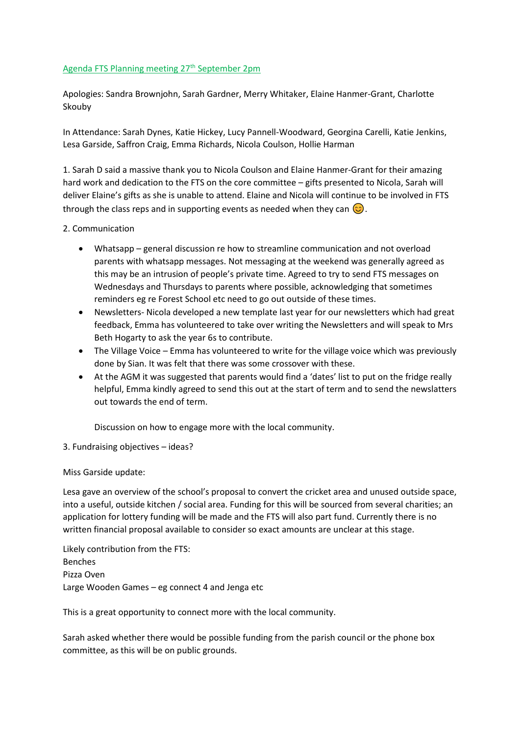## Agenda FTS Planning meeting 27<sup>th</sup> September 2pm

Apologies: Sandra Brownjohn, Sarah Gardner, Merry Whitaker, Elaine Hanmer-Grant, Charlotte Skouby

In Attendance: Sarah Dynes, Katie Hickey, Lucy Pannell-Woodward, Georgina Carelli, Katie Jenkins, Lesa Garside, Saffron Craig, Emma Richards, Nicola Coulson, Hollie Harman

1. Sarah D said a massive thank you to Nicola Coulson and Elaine Hanmer-Grant for their amazing hard work and dedication to the FTS on the core committee – gifts presented to Nicola, Sarah will deliver Elaine's gifts as she is unable to attend. Elaine and Nicola will continue to be involved in FTS through the class reps and in supporting events as needed when they can  $\circled{c}$ .

# 2. Communication

- Whatsapp general discussion re how to streamline communication and not overload parents with whatsapp messages. Not messaging at the weekend was generally agreed as this may be an intrusion of people's private time. Agreed to try to send FTS messages on Wednesdays and Thursdays to parents where possible, acknowledging that sometimes reminders eg re Forest School etc need to go out outside of these times.
- Newsletters- Nicola developed a new template last year for our newsletters which had great feedback, Emma has volunteered to take over writing the Newsletters and will speak to Mrs Beth Hogarty to ask the year 6s to contribute.
- The Village Voice Emma has volunteered to write for the village voice which was previously done by Sian. It was felt that there was some crossover with these.
- At the AGM it was suggested that parents would find a 'dates' list to put on the fridge really helpful, Emma kindly agreed to send this out at the start of term and to send the newslatters out towards the end of term.

Discussion on how to engage more with the local community.

3. Fundraising objectives – ideas?

Miss Garside update:

Lesa gave an overview of the school's proposal to convert the cricket area and unused outside space, into a useful, outside kitchen / social area. Funding for this will be sourced from several charities; an application for lottery funding will be made and the FTS will also part fund. Currently there is no written financial proposal available to consider so exact amounts are unclear at this stage.

Likely contribution from the FTS: Benches Pizza Oven Large Wooden Games – eg connect 4 and Jenga etc

This is a great opportunity to connect more with the local community.

Sarah asked whether there would be possible funding from the parish council or the phone box committee, as this will be on public grounds.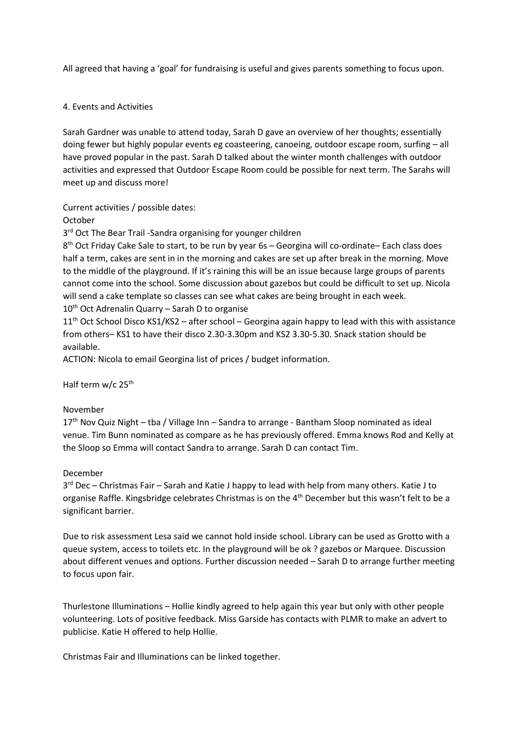All agreed that having a 'goal' for fundraising is useful and gives parents something to focus upon.

# 4. Events and Activities

Sarah Gardner was unable to attend today, Sarah D gave an overview of her thoughts; essentially doing fewer but highly popular events eg coasteering, canoeing, outdoor escape room, surfing – all have proved popular in the past. Sarah D talked about the winter month challenges with outdoor activities and expressed that Outdoor Escape Room could be possible for next term. The Sarahs will meet up and discuss more!

Current activities / possible dates:

October

3<sup>rd</sup> Oct The Bear Trail -Sandra organising for younger children

8 th Oct Friday Cake Sale to start, to be run by year 6s – Georgina will co-ordinate– Each class does half a term, cakes are sent in in the morning and cakes are set up after break in the morning. Move to the middle of the playground. If it's raining this will be an issue because large groups of parents cannot come into the school. Some discussion about gazebos but could be difficult to set up. Nicola will send a cake template so classes can see what cakes are being brought in each week.  $10<sup>th</sup>$  Oct Adrenalin Quarry – Sarah D to organise

11<sup>th</sup> Oct School Disco KS1/KS2 - after school - Georgina again happy to lead with this with assistance from others– KS1 to have their disco 2.30-3.30pm and KS2 3.30-5.30. Snack station should be available.

ACTION: Nicola to email Georgina list of prices / budget information.

Half term w/c 25<sup>th</sup>

### November

17<sup>th</sup> Nov Quiz Night – tba / Village Inn – Sandra to arrange - Bantham Sloop nominated as ideal venue. Tim Bunn nominated as compare as he has previously offered. Emma knows Rod and Kelly at the Sloop so Emma will contact Sandra to arrange. Sarah D can contact Tim.

### December

3<sup>rd</sup> Dec – Christmas Fair – Sarah and Katie J happy to lead with help from many others. Katie J to organise Raffle. Kingsbridge celebrates Christmas is on the 4<sup>th</sup> December but this wasn't felt to be a significant barrier.

Due to risk assessment Lesa said we cannot hold inside school. Library can be used as Grotto with a queue system, access to toilets etc. In the playground will be ok ? gazebos or Marquee. Discussion about different venues and options. Further discussion needed – Sarah D to arrange further meeting to focus upon fair.

Thurlestone Illuminations – Hollie kindly agreed to help again this year but only with other people volunteering. Lots of positive feedback. Miss Garside has contacts with PLMR to make an advert to publicise. Katie H offered to help Hollie.

Christmas Fair and Illuminations can be linked together.